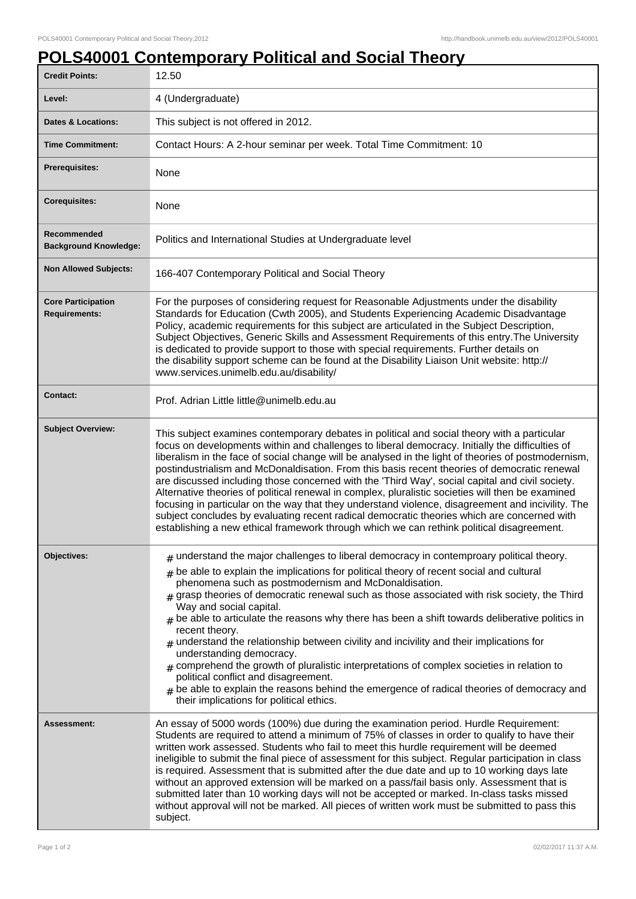## **POLS40001 Contemporary Political and Social Theory**

| <b>Credit Points:</b>                             | 12.50                                                                                                                                                                                                                                                                                                                                                                                                                                                                                                                                                                                                                                                                                                                                                                                                                                                                                                                              |
|---------------------------------------------------|------------------------------------------------------------------------------------------------------------------------------------------------------------------------------------------------------------------------------------------------------------------------------------------------------------------------------------------------------------------------------------------------------------------------------------------------------------------------------------------------------------------------------------------------------------------------------------------------------------------------------------------------------------------------------------------------------------------------------------------------------------------------------------------------------------------------------------------------------------------------------------------------------------------------------------|
| Level:                                            | 4 (Undergraduate)                                                                                                                                                                                                                                                                                                                                                                                                                                                                                                                                                                                                                                                                                                                                                                                                                                                                                                                  |
| <b>Dates &amp; Locations:</b>                     | This subject is not offered in 2012.                                                                                                                                                                                                                                                                                                                                                                                                                                                                                                                                                                                                                                                                                                                                                                                                                                                                                               |
| <b>Time Commitment:</b>                           | Contact Hours: A 2-hour seminar per week. Total Time Commitment: 10                                                                                                                                                                                                                                                                                                                                                                                                                                                                                                                                                                                                                                                                                                                                                                                                                                                                |
| <b>Prerequisites:</b>                             | None                                                                                                                                                                                                                                                                                                                                                                                                                                                                                                                                                                                                                                                                                                                                                                                                                                                                                                                               |
| <b>Corequisites:</b>                              | None                                                                                                                                                                                                                                                                                                                                                                                                                                                                                                                                                                                                                                                                                                                                                                                                                                                                                                                               |
| Recommended<br><b>Background Knowledge:</b>       | Politics and International Studies at Undergraduate level                                                                                                                                                                                                                                                                                                                                                                                                                                                                                                                                                                                                                                                                                                                                                                                                                                                                          |
| <b>Non Allowed Subjects:</b>                      | 166-407 Contemporary Political and Social Theory                                                                                                                                                                                                                                                                                                                                                                                                                                                                                                                                                                                                                                                                                                                                                                                                                                                                                   |
| <b>Core Participation</b><br><b>Requirements:</b> | For the purposes of considering request for Reasonable Adjustments under the disability<br>Standards for Education (Cwth 2005), and Students Experiencing Academic Disadvantage<br>Policy, academic requirements for this subject are articulated in the Subject Description,<br>Subject Objectives, Generic Skills and Assessment Requirements of this entry. The University<br>is dedicated to provide support to those with special requirements. Further details on<br>the disability support scheme can be found at the Disability Liaison Unit website: http://<br>www.services.unimelb.edu.au/disability/                                                                                                                                                                                                                                                                                                                   |
| <b>Contact:</b>                                   | Prof. Adrian Little little@unimelb.edu.au                                                                                                                                                                                                                                                                                                                                                                                                                                                                                                                                                                                                                                                                                                                                                                                                                                                                                          |
| <b>Subject Overview:</b>                          | This subject examines contemporary debates in political and social theory with a particular<br>focus on developments within and challenges to liberal democracy. Initially the difficulties of<br>liberalism in the face of social change will be analysed in the light of theories of postmodernism,<br>postindustrialism and McDonaldisation. From this basis recent theories of democratic renewal<br>are discussed including those concerned with the 'Third Way', social capital and civil society.<br>Alternative theories of political renewal in complex, pluralistic societies will then be examined<br>focusing in particular on the way that they understand violence, disagreement and incivility. The<br>subject concludes by evaluating recent radical democratic theories which are concerned with<br>establishing a new ethical framework through which we can rethink political disagreement.                     |
| Objectives:                                       | $_{\text{\#}}$ understand the major challenges to liberal democracy in contemproary political theory.<br>be able to explain the implications for political theory of recent social and cultural<br>#<br>phenomena such as postmodernism and McDonaldisation.<br>grasp theories of democratic renewal such as those associated with risk society, the Third<br>Way and social capital.<br>$#$ be able to articulate the reasons why there has been a shift towards deliberative politics in<br>recent theory.<br>$_{\#}$ understand the relationship between civility and incivility and their implications for<br>understanding democracy.<br>$_{\#}$ comprehend the growth of pluralistic interpretations of complex societies in relation to<br>political conflict and disagreement.<br>$#$ be able to explain the reasons behind the emergence of radical theories of democracy and<br>their implications for political ethics. |
| <b>Assessment:</b>                                | An essay of 5000 words (100%) due during the examination period. Hurdle Requirement:<br>Students are required to attend a minimum of 75% of classes in order to qualify to have their<br>written work assessed. Students who fail to meet this hurdle requirement will be deemed<br>ineligible to submit the final piece of assessment for this subject. Regular participation in class<br>is required. Assessment that is submitted after the due date and up to 10 working days late<br>without an approved extension will be marked on a pass/fail basis only. Assessment that is<br>submitted later than 10 working days will not be accepted or marked. In-class tasks missed<br>without approval will not be marked. All pieces of written work must be submitted to pass this<br>subject.                                                                                                                                   |